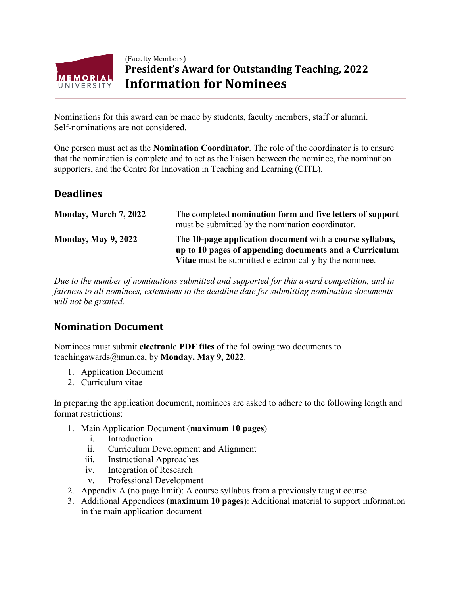

## (Faculty Members) **President's Award for Outstanding Teaching, 2022 Information for Nominees**

Nominations for this award can be made by students, faculty members, staff or alumni. Self-nominations are not considered.

One person must act as the **Nomination Coordinator**. The role of the coordinator is to ensure that the nomination is complete and to act as the liaison between the nominee, the nomination supporters, and the Centre for Innovation in Teaching and Learning (CITL).

## **Deadlines**

| Monday, March 7, 2022      | The completed nomination form and five letters of support<br>must be submitted by the nomination coordinator.                                                                |
|----------------------------|------------------------------------------------------------------------------------------------------------------------------------------------------------------------------|
| <b>Monday, May 9, 2022</b> | The 10-page application document with a course syllabus,<br>up to 10 pages of appending documents and a Curriculum<br>Vitae must be submitted electronically by the nominee. |

*Due to the number of nominations submitted and supported for this award competition, and in fairness to all nominees, extensions to the deadline date for submitting nomination documents will not be granted.*

## **Nomination Document**

Nominees must submit **electroni**c **PDF files** of the following two documents to teachingawards@mun.ca, by **Monday, May 9, 2022**.

- 1. Application Document
- 2. Curriculum vitae

In preparing the application document, nominees are asked to adhere to the following length and format restrictions:

- 1. Main Application Document (**maximum 10 pages**)
	- i. Introduction
	- ii. Curriculum Development and Alignment
	- iii. Instructional Approaches
	- iv. Integration of Research
	- v. Professional Development
- 2. Appendix A (no page limit): A course syllabus from a previously taught course
- 3. Additional Appendices (**maximum 10 pages**): Additional material to support information in the main application document